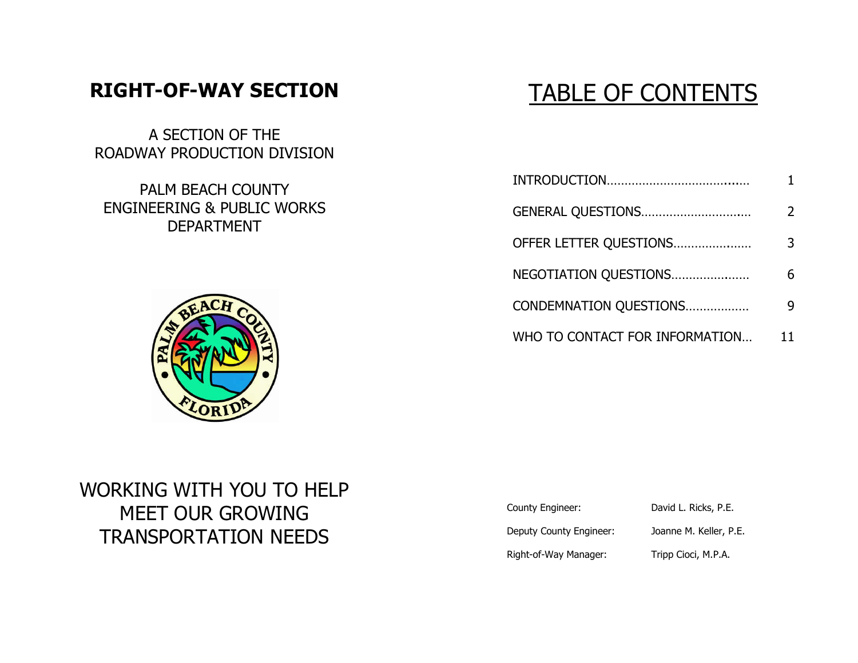## **RIGHT-OF-WAY SECTION**

A SECTION OF THE ROADWAY PRODUCTION DIVISION

PALM BEACH COUNTY ENGINEERING & PUBLIC WORKS DEPARTMENT



# TABLE OF CONTENTS

| GENERAL QUESTIONS              | 2  |
|--------------------------------|----|
| OFFER LETTER QUESTIONS         | 3. |
| NEGOTIATION QUESTIONS          | 6. |
| CONDEMNATION QUESTIONS         |    |
| WHO TO CONTACT FOR INFORMATION | 11 |

## WORKING WITH YOU TO HELP MEET OUR GROWING TRANSPORTATION NEEDS

| County Engineer:        | David L. Ricks, P.E.   |
|-------------------------|------------------------|
| Deputy County Engineer: | Joanne M. Keller, P.E. |
| Right-of-Way Manager:   | Tripp Cioci, M.P.A.    |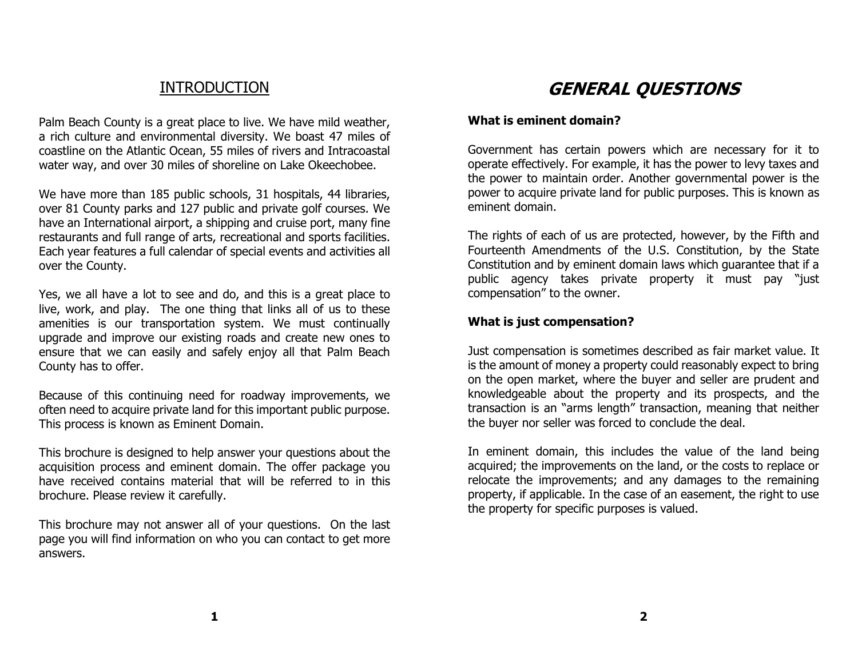### INTRODUCTION

Palm Beach County is a great place to live. We have mild weather, a rich culture and environmental diversity. We boast 47 miles of coastline on the Atlantic Ocean, 55 miles of rivers and Intracoastal water way, and over 30 miles of shoreline on Lake Okeechobee.

We have more than 185 public schools, 31 hospitals, 44 libraries, over 81 County parks and 127 public and private golf courses. We have an International airport, a shipping and cruise port, many fine restaurants and full range of arts, recreational and sports facilities. Each year features a full calendar of special events and activities all over the County.

Yes, we all have a lot to see and do, and this is a great place to live, work, and play. The one thing that links all of us to these amenities is our transportation system. We must continually upgrade and improve our existing roads and create new ones to ensure that we can easily and safely enjoy all that Palm Beach County has to offer.

Because of this continuing need for roadway improvements, we often need to acquire private land for this important public purpose. This process is known as Eminent Domain.

This brochure is designed to help answer your questions about the acquisition process and eminent domain. The offer package you have received contains material that will be referred to in this brochure. Please review it carefully.

This brochure may not answer all of your questions. On the last page you will find information on who you can contact to get more answers.

## **GENERAL QUESTIONS**

#### **What is eminent domain?**

Government has certain powers which are necessary for it to operate effectively. For example, it has the power to levy taxes and the power to maintain order. Another governmental power is the power to acquire private land for public purposes. This is known as eminent domain.

The rights of each of us are protected, however, by the Fifth and Fourteenth Amendments of the U.S. Constitution, by the State Constitution and by eminent domain laws which guarantee that if a public agency takes private property it must pay "just compensation" to the owner.

#### **What is just compensation?**

Just compensation is sometimes described as fair market value. It is the amount of money a property could reasonably expect to bring on the open market, where the buyer and seller are prudent and knowledgeable about the property and its prospects, and the transaction is an "arms length" transaction, meaning that neither the buyer nor seller was forced to conclude the deal.

In eminent domain, this includes the value of the land being acquired; the improvements on the land, or the costs to replace or relocate the improvements; and any damages to the remaining property, if applicable. In the case of an easement, the right to use the property for specific purposes is valued.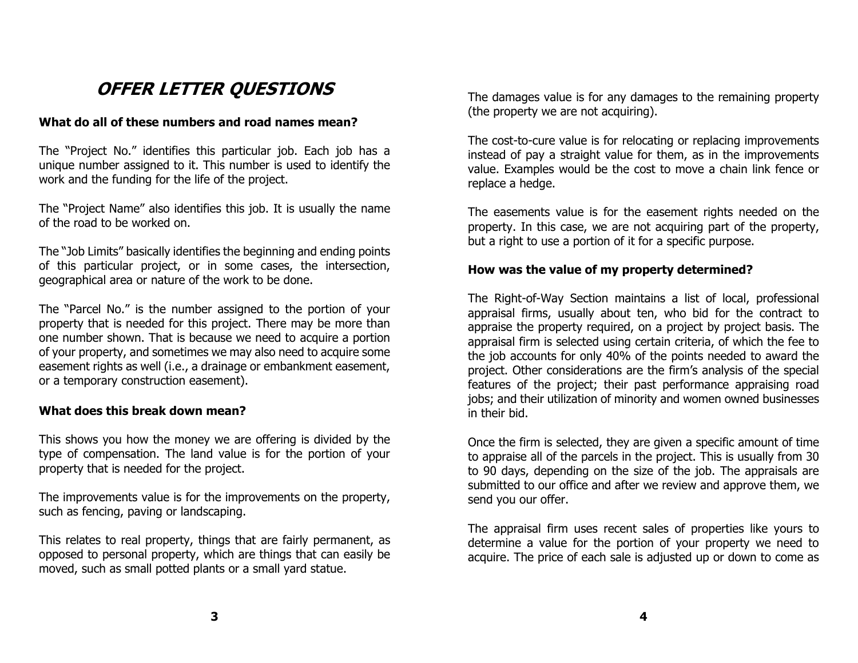## **OFFER LETTER QUESTIONS**

#### **What do all of these numbers and road names mean?**

The "Project No." identifies this particular job. Each job has a unique number assigned to it. This number is used to identify the work and the funding for the life of the project.

The "Project Name" also identifies this job. It is usually the name of the road to be worked on.

The "Job Limits" basically identifies the beginning and ending points of this particular project, or in some cases, the intersection, geographical area or nature of the work to be done.

The "Parcel No." is the number assigned to the portion of your property that is needed for this project. There may be more than one number shown. That is because we need to acquire a portion of your property, and sometimes we may also need to acquire some easement rights as well (i.e., a drainage or embankment easement, or a temporary construction easement).

#### **What does this break down mean?**

This shows you how the money we are offering is divided by the type of compensation. The land value is for the portion of your property that is needed for the project.

The improvements value is for the improvements on the property, such as fencing, paving or landscaping.

This relates to real property, things that are fairly permanent, as opposed to personal property, which are things that can easily be moved, such as small potted plants or a small yard statue.

The damages value is for any damages to the remaining property (the property we are not acquiring).

The cost-to-cure value is for relocating or replacing improvements instead of pay a straight value for them, as in the improvements value. Examples would be the cost to move a chain link fence or replace a hedge.

The easements value is for the easement rights needed on the property. In this case, we are not acquiring part of the property, but a right to use a portion of it for a specific purpose.

#### **How was the value of my property determined?**

The Right-of-Way Section maintains a list of local, professional appraisal firms, usually about ten, who bid for the contract to appraise the property required, on a project by project basis. The appraisal firm is selected using certain criteria, of which the fee to the job accounts for only 40% of the points needed to award the project. Other considerations are the firm's analysis of the special features of the project; their past performance appraising road jobs; and their utilization of minority and women owned businesses in their bid.

Once the firm is selected, they are given a specific amount of time to appraise all of the parcels in the project. This is usually from 30 to 90 days, depending on the size of the job. The appraisals are submitted to our office and after we review and approve them, we send you our offer.

The appraisal firm uses recent sales of properties like yours to determine a value for the portion of your property we need to acquire. The price of each sale is adjusted up or down to come as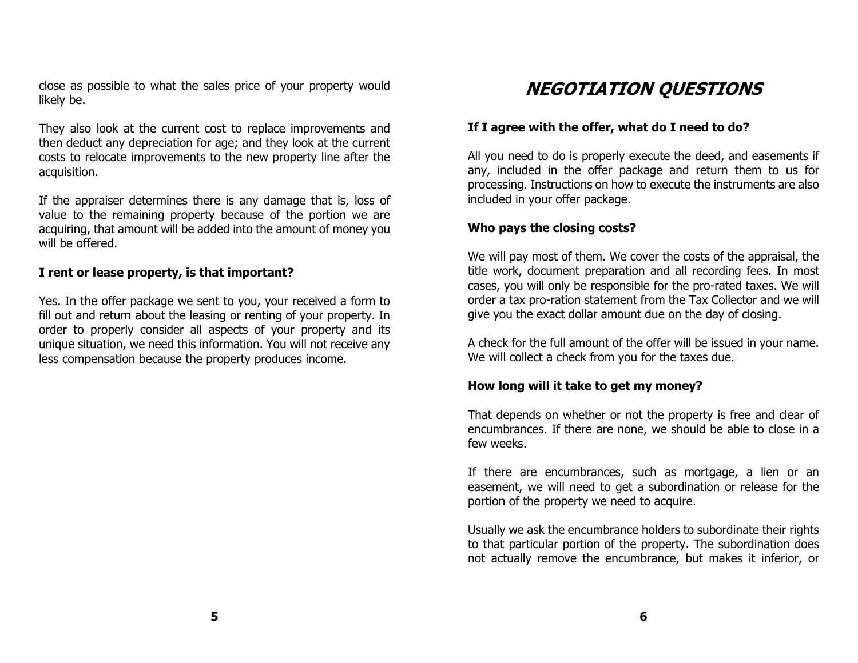close as possible to what the sales price of your property would likely be.

They also look at the current cost to replace improvements and then deduct any depreciation for age; and they look at the current costs to relocate improvements to the new property line after the acquisition.

If the appraiser determines there is any damage that is, loss of value to the remaining property because of the portion we are acquiring, that amount will be added into the amount of money you will be offered.

#### **I rent or lease property, is that important?**

Yes. In the offer package we sent to you, your received a form to fill out and return about the leasing or renting of your property. In order to properly consider all aspects of your property and its unique situation, we need this information. You will not receive any less compensation because the property produces income.

## **NEGOTIATION QUESTIONS**

#### **If I agree with the offer, what do I need to do?**

All you need to do is properly execute the deed, and easements if any, included in the offer package and return them to us for processing. Instructions on how to execute the instruments are also included in your offer package.

#### **Who pays the closing costs?**

We will pay most of them. We cover the costs of the appraisal, the title work, document preparation and all recording fees. In most cases, you will only be responsible for the pro-rated taxes. We will order a tax pro-ration statement from the Tax Collector and we will give you the exact dollar amount due on the day of closing.

A check for the full amount of the offer will be issued in your name. We will collect a check from you for the taxes due.

#### **How long will it take to get my money?**

That depends on whether or not the property is free and clear of encumbrances. If there are none, we should be able to close in a few weeks.

If there are encumbrances, such as mortgage, a lien or an easement, we will need to get a subordination or release for the portion of the property we need to acquire.

Usually we ask the encumbrance holders to subordinate their rights to that particular portion of the property. The subordination does not actually remove the encumbrance, but makes it inferior, or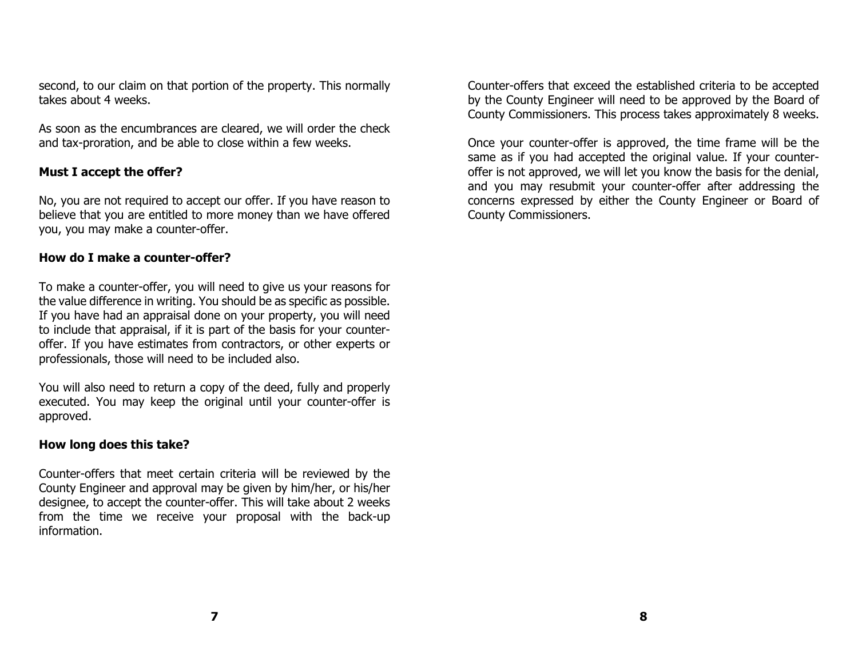second, to our claim on that portion of the property. This normally takes about 4 weeks.

As soon as the encumbrances are cleared, we will order the check and tax-proration, and be able to close within a few weeks.

#### **Must I accept the offer?**

No, you are not required to accept our offer. If you have reason to believe that you are entitled to more money than we have offered you, you may make a counter-offer.

#### **How do I make a counter-offer?**

To make a counter-offer, you will need to give us your reasons for the value difference in writing. You should be as specific as possible. If you have had an appraisal done on your property, you will need to include that appraisal, if it is part of the basis for your counteroffer. If you have estimates from contractors, or other experts or professionals, those will need to be included also.

You will also need to return a copy of the deed, fully and properly executed. You may keep the original until your counter-offer is approved.

#### **How long does this take?**

Counter-offers that meet certain criteria will be reviewed by the County Engineer and approval may be given by him/her, or his/her designee, to accept the counter-offer. This will take about 2 weeks from the time we receive your proposal with the back-up information.

Counter-offers that exceed the established criteria to be accepted by the County Engineer will need to be approved by the Board of County Commissioners. This process takes approximately 8 weeks.

Once your counter-offer is approved, the time frame will be the same as if you had accepted the original value. If your counteroffer is not approved, we will let you know the basis for the denial, and you may resubmit your counter-offer after addressing the concerns expressed by either the County Engineer or Board of County Commissioners.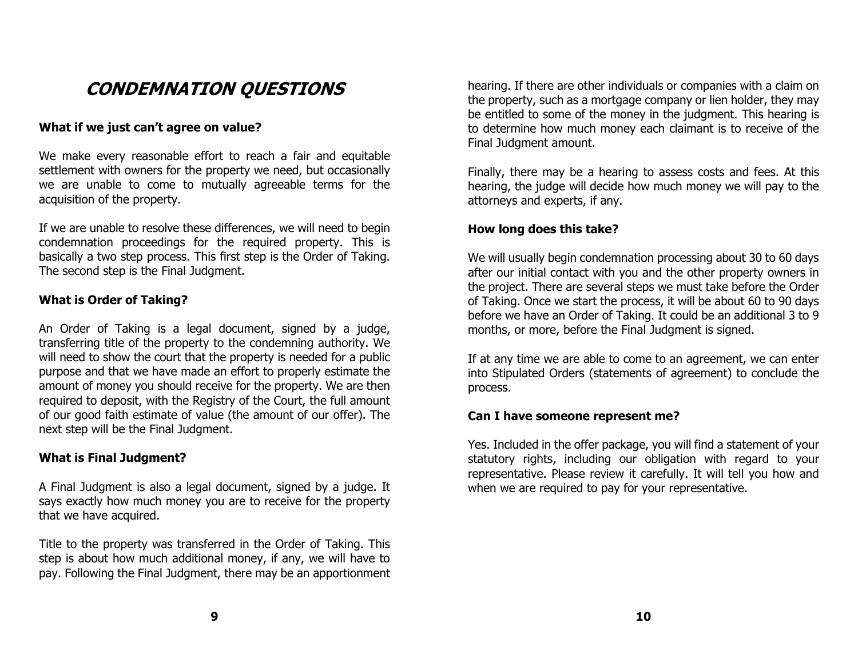## **CONDEMNATION QUESTIONS**

#### **What if we just can't agree on value?**

We make every reasonable effort to reach a fair and equitable settlement with owners for the property we need, but occasionally we are unable to come to mutually agreeable terms for the acquisition of the property.

If we are unable to resolve these differences, we will need to begin condemnation proceedings for the required property. This is basically a two step process. This first step is the Order of Taking. The second step is the Final Judgment.

#### **What is Order of Taking?**

An Order of Taking is a legal document, signed by a judge, transferring title of the property to the condemning authority. We will need to show the court that the property is needed for a public purpose and that we have made an effort to properly estimate the amount of money you should receive for the property. We are then required to deposit, with the Registry of the Court, the full amount of our good faith estimate of value (the amount of our offer). The next step will be the Final Judgment.

#### **What is Final Judgment?**

A Final Judgment is also a legal document, signed by a judge. It says exactly how much money you are to receive for the property that we have acquired.

Title to the property was transferred in the Order of Taking. This step is about how much additional money, if any, we will have to pay. Following the Final Judgment, there may be an apportionment hearing. If there are other individuals or companies with a claim on the property, such as a mortgage company or lien holder, they may be entitled to some of the money in the judgment. This hearing is to determine how much money each claimant is to receive of the Final Judgment amount.

Finally, there may be a hearing to assess costs and fees. At this hearing, the judge will decide how much money we will pay to the attorneys and experts, if any.

#### **How long does this take?**

We will usually begin condemnation processing about 30 to 60 days after our initial contact with you and the other property owners in the project. There are several steps we must take before the Order of Taking. Once we start the process, it will be about 60 to 90 days before we have an Order of Taking. It could be an additional 3 to 9 months, or more, before the Final Judgment is signed.

If at any time we are able to come to an agreement, we can enter into Stipulated Orders (statements of agreement) to conclude the process.

#### **Can I have someone represent me?**

Yes. Included in the offer package, you will find a statement of your statutory rights, including our obligation with regard to your representative. Please review it carefully. It will tell you how and when we are required to pay for your representative.